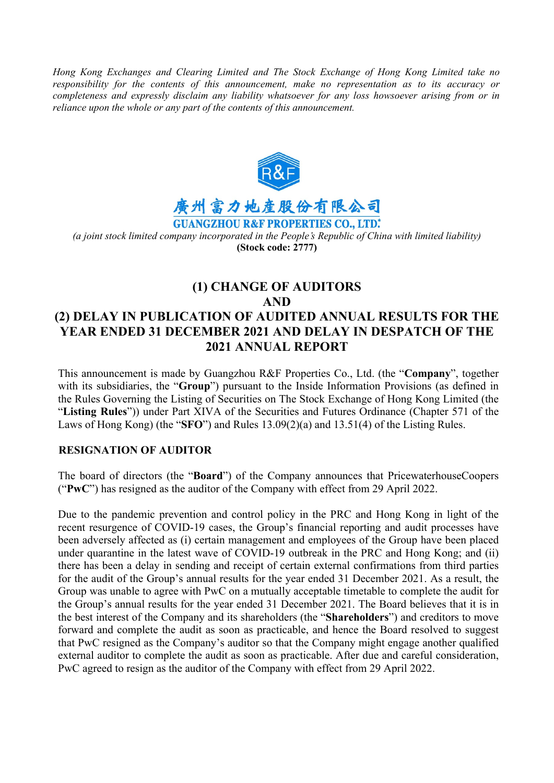*Hong Kong Exchanges and Clearing Limited and The Stock Exchange of Hong Kong Limited take no responsibility for the contents of this announcement, make no representation as to its accuracy or completeness and expressly disclaim any liability whatsoever for any loss howsoever arising from or in reliance upon the whole or any part of the contents of this announcement.*



**GUANGZHOU R&F PROPERTIES CO., LTD.\*** *(a joint stock limited company incorporated in the People's Republic of China with limited liability)*  **(Stock code: 2777)**

# **(1) CHANGE OF AUDITORS AND (2) DELAY IN PUBLICATION OF AUDITED ANNUAL RESULTS FOR THE YEAR ENDED 31 DECEMBER 2021 AND DELAY IN DESPATCH OF THE 2021 ANNUAL REPORT**

This announcement is made by Guangzhou R&F Properties Co., Ltd. (the "**Company**", together with its subsidiaries, the "**Group**") pursuant to the Inside Information Provisions (as defined in the Rules Governing the Listing of Securities on The Stock Exchange of Hong Kong Limited (the "**Listing Rules**")) under Part XIVA of the Securities and Futures Ordinance (Chapter 571 of the Laws of Hong Kong) (the "**SFO**") and Rules 13.09(2)(a) and 13.51(4) of the Listing Rules.

### **RESIGNATION OF AUDITOR**

The board of directors (the "**Board**") of the Company announces that PricewaterhouseCoopers ("**PwC**") has resigned as the auditor of the Company with effect from 29 April 2022.

Due to the pandemic prevention and control policy in the PRC and Hong Kong in light of the recent resurgence of COVID-19 cases, the Group's financial reporting and audit processes have been adversely affected as (i) certain management and employees of the Group have been placed under quarantine in the latest wave of COVID-19 outbreak in the PRC and Hong Kong; and (ii) there has been a delay in sending and receipt of certain external confirmations from third parties for the audit of the Group's annual results for the year ended 31 December 2021. As a result, the Group was unable to agree with PwC on a mutually acceptable timetable to complete the audit for the Group's annual results for the year ended 31 December 2021. The Board believes that it is in the best interest of the Company and its shareholders (the "**Shareholders**") and creditors to move forward and complete the audit as soon as practicable, and hence the Board resolved to suggest that PwC resigned as the Company's auditor so that the Company might engage another qualified external auditor to complete the audit as soon as practicable. After due and careful consideration, PwC agreed to resign as the auditor of the Company with effect from 29 April 2022.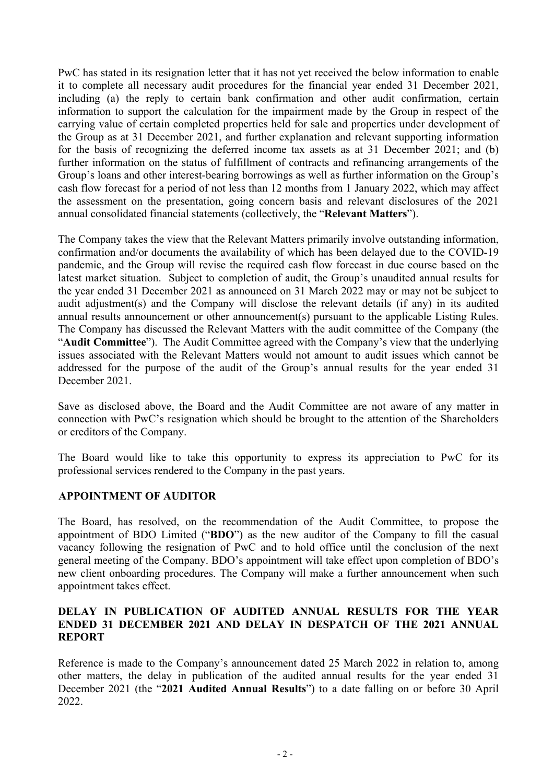PwC has stated in its resignation letter that it has not yet received the below information to enable it to complete all necessary audit procedures for the financial year ended 31 December 2021, including (a) the reply to certain bank confirmation and other audit confirmation, certain information to support the calculation for the impairment made by the Group in respect of the carrying value of certain completed properties held for sale and properties under development of the Group as at 31 December 2021, and further explanation and relevant supporting information for the basis of recognizing the deferred income tax assets as at 31 December 2021; and (b) further information on the status of fulfillment of contracts and refinancing arrangements of the Group's loans and other interest-bearing borrowings as well as further information on the Group's cash flow forecast for a period of not less than 12 months from 1 January 2022, which may affect the assessment on the presentation, going concern basis and relevant disclosures of the 2021 annual consolidated financial statements (collectively, the "**Relevant Matters**").

The Company takes the view that the Relevant Matters primarily involve outstanding information, confirmation and/or documents the availability of which has been delayed due to the COVID-19 pandemic, and the Group will revise the required cash flow forecast in due course based on the latest market situation. Subject to completion of audit, the Group's unaudited annual results for the year ended 31 December 2021 as announced on 31 March 2022 may or may not be subject to audit adjustment(s) and the Company will disclose the relevant details (if any) in its audited annual results announcement or other announcement(s) pursuant to the applicable Listing Rules. The Company has discussed the Relevant Matters with the audit committee of the Company (the "**Audit Committee**"). The Audit Committee agreed with the Company's view that the underlying issues associated with the Relevant Matters would not amount to audit issues which cannot be addressed for the purpose of the audit of the Group's annual results for the year ended 31 December 2021.

Save as disclosed above, the Board and the Audit Committee are not aware of any matter in connection with PwC's resignation which should be brought to the attention of the Shareholders or creditors of the Company.

The Board would like to take this opportunity to express its appreciation to PwC for its professional services rendered to the Company in the past years.

### **APPOINTMENT OF AUDITOR**

The Board, has resolved, on the recommendation of the Audit Committee, to propose the appointment of BDO Limited ("**BDO**") as the new auditor of the Company to fill the casual vacancy following the resignation of PwC and to hold office until the conclusion of the next general meeting of the Company. BDO's appointment will take effect upon completion of BDO's new client onboarding procedures. The Company will make a further announcement when such appointment takes effect.

# **DELAY IN PUBLICATION OF AUDITED ANNUAL RESULTS FOR THE YEAR ENDED 31 DECEMBER 2021 AND DELAY IN DESPATCH OF THE 2021 ANNUAL REPORT**

Reference is made to the Company's announcement dated 25 March 2022 in relation to, among other matters, the delay in publication of the audited annual results for the year ended 31 December 2021 (the "**2021 Audited Annual Results**") to a date falling on or before 30 April 2022.